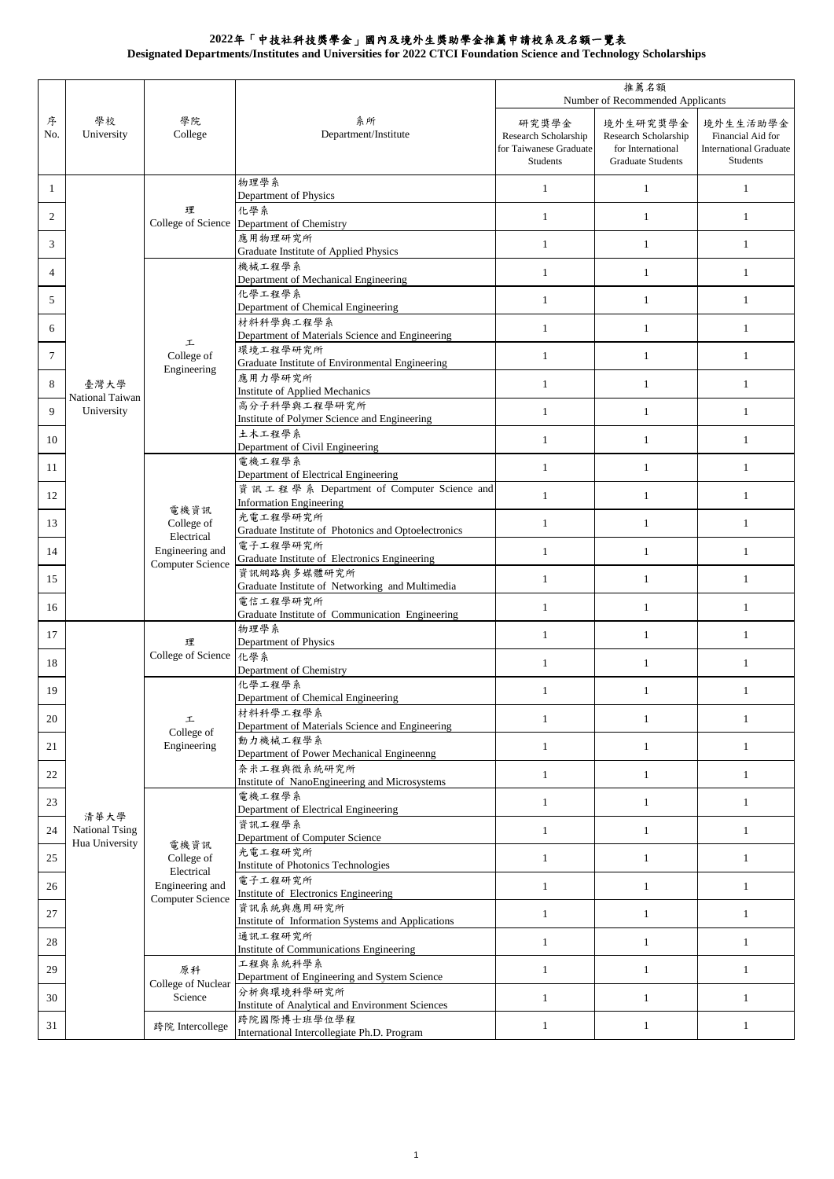**Designated Departments/Institutes and Universities for 2022 CTCI Foundation Science and Technology Scholarships**

|              |                               |                                                                                                                |                                                                                                                | 推薦名額<br>Number of Recommended Applicants                            |                                                                                   |                                                                            |
|--------------|-------------------------------|----------------------------------------------------------------------------------------------------------------|----------------------------------------------------------------------------------------------------------------|---------------------------------------------------------------------|-----------------------------------------------------------------------------------|----------------------------------------------------------------------------|
| 序<br>No.     | 學校<br>University              | 學院<br>College                                                                                                  | 系所<br>Department/Institute                                                                                     | 研究獎學金<br>Research Scholarship<br>for Taiwanese Graduate<br>Students | 境外生研究獎學金<br>Research Scholarship<br>for International<br><b>Graduate Students</b> | 境外生生活助學金<br>Financial Aid for<br><b>International Graduate</b><br>Students |
| $\mathbf{1}$ |                               | 理                                                                                                              | 物理學系<br>Department of Physics                                                                                  | $\mathbf{1}$                                                        | $\mathbf{1}$                                                                      | $\mathbf{1}$                                                               |
| 2            |                               |                                                                                                                | 化學系<br>College of Science Department of Chemistry                                                              | $\mathbf{1}$                                                        | $\mathbf{1}$                                                                      | 1                                                                          |
| 3            |                               |                                                                                                                | 應用物理研究所<br>Graduate Institute of Applied Physics                                                               | $\mathbf{1}$                                                        | $\mathbf{1}$                                                                      | $\mathbf{1}$                                                               |
| 4            |                               | 工<br>College of<br>Engineering                                                                                 | 機械工程學系<br>Department of Mechanical Engineering                                                                 | $\mathbf{1}$                                                        | $\mathbf{1}$                                                                      | $\mathbf{1}$                                                               |
| 5            |                               |                                                                                                                | 化學工程學系<br>Department of Chemical Engineering                                                                   | $\mathbf{1}$                                                        | $\mathbf{1}$                                                                      | $\mathbf{1}$                                                               |
| 6            |                               |                                                                                                                | 材料科學與工程學系<br>Department of Materials Science and Engineering                                                   | $\mathbf{1}$                                                        | $\mathbf{1}$                                                                      | $\mathbf{1}$                                                               |
| 7            |                               |                                                                                                                | 環境工程學研究所<br>Graduate Institute of Environmental Engineering                                                    | $\mathbf{1}$                                                        | $\mathbf{1}$                                                                      | 1                                                                          |
| 8            | 臺灣大學                          |                                                                                                                | 應用力學研究所<br>Institute of Applied Mechanics                                                                      | $\mathbf{1}$                                                        | $\mathbf{1}$                                                                      | $\mathbf{1}$                                                               |
| 9            | National Taiwan<br>University |                                                                                                                | 高分子科學與工程學研究所<br>Institute of Polymer Science and Engineering                                                   | $\mathbf{1}$                                                        | $\mathbf{1}$                                                                      | $\mathbf{1}$                                                               |
| 10           |                               |                                                                                                                | 土木工程學系<br>Department of Civil Engineering                                                                      | $\mathbf{1}$                                                        | $\mathbf{1}$                                                                      | $\mathbf{1}$                                                               |
| 11           |                               |                                                                                                                | 電機工程學系<br>Department of Electrical Engineering                                                                 | $\mathbf{1}$                                                        | $\mathbf{1}$                                                                      | $\mathbf{1}$                                                               |
| 12           |                               |                                                                                                                | 資訊工程學系 Department of Computer Science and<br><b>Information Engineering</b>                                    | $\mathbf{1}$                                                        | $\mathbf{1}$                                                                      | $\mathbf{1}$                                                               |
| 13           |                               | 電機資訊<br>College of<br>Electrical<br>Engineering and<br><b>Computer Science</b>                                 | 光電工程學研究所<br>Graduate Institute of Photonics and Optoelectronics                                                | $\mathbf{1}$                                                        | $\mathbf{1}$                                                                      | $\mathbf{1}$                                                               |
| 14           |                               |                                                                                                                | 電子工程學研究所<br>Graduate Institute of Electronics Engineering                                                      | $\mathbf{1}$                                                        | $\mathbf{1}$                                                                      | 1                                                                          |
| 15           |                               |                                                                                                                | 資訊網路與多媒體研究所<br>Graduate Institute of Networking and Multimedia                                                 | $\mathbf{1}$                                                        | $\mathbf{1}$                                                                      | $\mathbf{1}$                                                               |
| 16           |                               |                                                                                                                | 電信工程學研究所                                                                                                       | $\mathbf{1}$                                                        | $\mathbf{1}$                                                                      | $\mathbf{1}$                                                               |
| 17           |                               | 理<br>College of Science                                                                                        | Graduate Institute of Communication Engineering<br>物理學系                                                        | $\mathbf{1}$                                                        | $\mathbf{1}$                                                                      | $\mathbf{1}$                                                               |
| 18           |                               |                                                                                                                | Department of Physics<br>化學系                                                                                   | $\mathbf{1}$                                                        | $\mathbf{1}$                                                                      | $\mathbf{1}$                                                               |
| 19           |                               | 工<br>College of<br>Engineering                                                                                 | Department of Chemistry<br>化學工程學系<br>Department of Chemical Engineering                                        | $\mathbf{1}$                                                        | $\mathbf{1}$                                                                      | $\mathbf{1}$                                                               |
| 20           |                               |                                                                                                                | 材料科學工程學系<br>Department of Materials Science and Engineering                                                    | $\mathbf{1}$                                                        | $\mathbf{1}$                                                                      | $\mathbf{1}$                                                               |
| 21           |                               |                                                                                                                | 動力機械工程學系<br>Department of Power Mechanical Engineenng                                                          | $\mathbf{1}$                                                        | $\mathbf{1}$                                                                      | $\mathbf{1}$                                                               |
| 22           |                               |                                                                                                                | 奈米工程與微系統研究所<br>Institute of NanoEngineering and Microsystems                                                   | $\mathbf{1}$                                                        | $\mathbf{1}$                                                                      | $\mathbf{1}$                                                               |
| 23           |                               | 電機資訊<br>College of<br>Electrical<br>Engineering and<br>Computer Science<br>原科<br>College of Nuclear<br>Science | 電機工程學系<br>Department of Electrical Engineering                                                                 | $\mathbf{1}$                                                        | $\mathbf{1}$                                                                      | $\mathbf{1}$                                                               |
| 24           | 清華大學<br><b>National Tsing</b> |                                                                                                                | 資訊工程學系<br>Department of Computer Science                                                                       | $\mathbf{1}$                                                        | $\mathbf{1}$                                                                      | $\mathbf{1}$                                                               |
| 25           | Hua University                |                                                                                                                | 光電工程研究所                                                                                                        | $\mathbf{1}$                                                        | $\mathbf{1}$                                                                      | $\mathbf{1}$                                                               |
| 26           |                               |                                                                                                                | Institute of Photonics Technologies<br>電子工程研究所                                                                 | $\mathbf{1}$                                                        | $\mathbf{1}$                                                                      | $\mathbf{1}$                                                               |
| 27           |                               |                                                                                                                | Institute of Electronics Engineering<br>資訊系統與應用研究所<br>Institute of Information Systems and Applications        | $\mathbf{1}$                                                        | $\mathbf{1}$                                                                      | $\mathbf{1}$                                                               |
| 28           |                               |                                                                                                                | 通訊工程研究所                                                                                                        | $\mathbf{1}$                                                        | $\mathbf{1}$                                                                      | $\mathbf{1}$                                                               |
| 29           |                               |                                                                                                                | Institute of Communications Engineering<br>工程與系統科學系                                                            | $\mathbf{1}$                                                        | $\mathbf{1}$                                                                      | $\mathbf{1}$                                                               |
| 30           |                               |                                                                                                                | Department of Engineering and System Science<br>分析與環境科學研究所                                                     | $\mathbf{1}$                                                        | $\mathbf{1}$                                                                      | 1                                                                          |
| 31           |                               | 跨院 Intercollege                                                                                                | Institute of Analytical and Environment Sciences<br>跨院國際博士班學位學程<br>International Intercollegiate Ph.D. Program | $\mathbf{1}$                                                        | $\mathbf{1}$                                                                      | $\mathbf{1}$                                                               |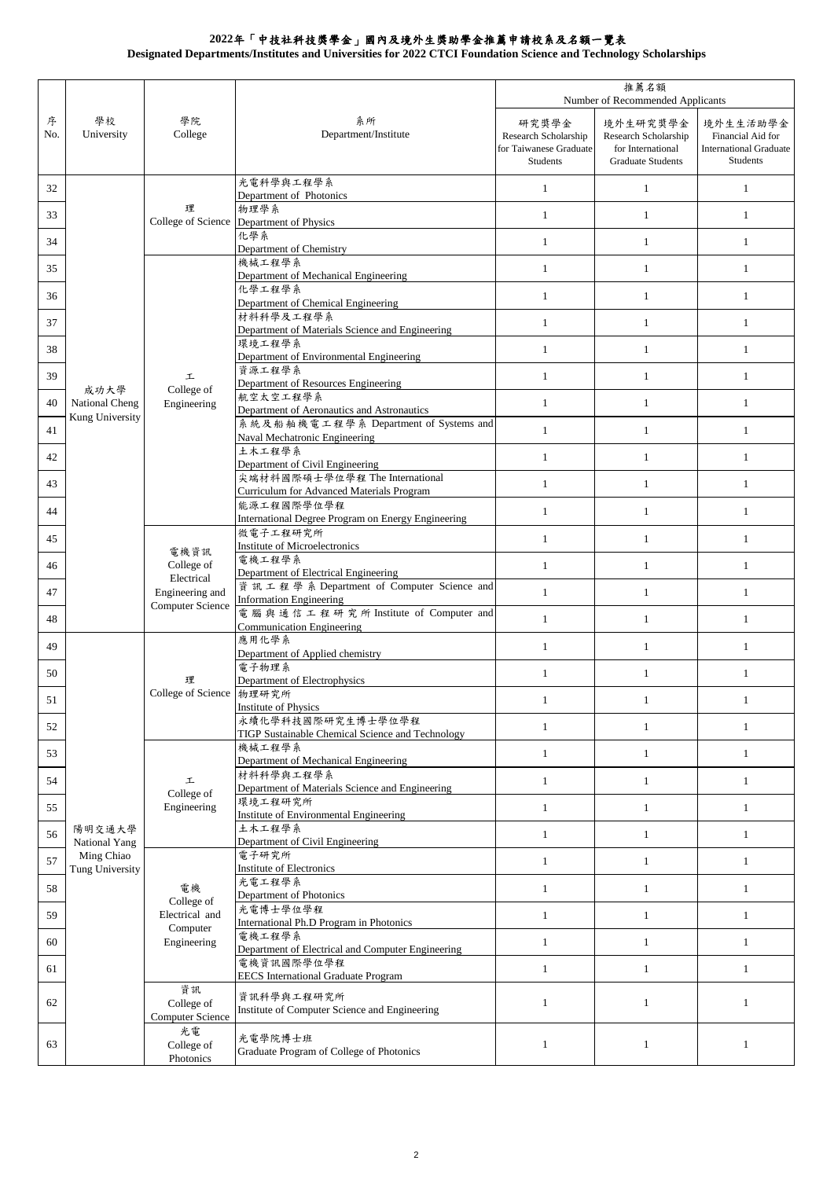**Designated Departments/Institutes and Universities for 2022 CTCI Foundation Science and Technology Scholarships**

|          | 推薦名額<br>Number of Recommended Applicants |                                                                         |                                                                                   |                                                                     |                                                                                   |                                                                            |
|----------|------------------------------------------|-------------------------------------------------------------------------|-----------------------------------------------------------------------------------|---------------------------------------------------------------------|-----------------------------------------------------------------------------------|----------------------------------------------------------------------------|
| 序<br>No. | 學校<br>University                         | 學院<br>College                                                           | 系所<br>Department/Institute                                                        | 研究獎學金<br>Research Scholarship<br>for Taiwanese Graduate<br>Students | 境外生研究獎學金<br>Research Scholarship<br>for International<br><b>Graduate Students</b> | 境外生生活助學金<br>Financial Aid for<br><b>International Graduate</b><br>Students |
| 32       |                                          | 理<br>College of Science                                                 | 光電科學與工程學系<br>Department of Photonics                                              | $\mathbf{1}$                                                        | $\mathbf{1}$                                                                      | $\mathbf{1}$                                                               |
| 33       |                                          |                                                                         | 物理學系                                                                              | $\mathbf{1}$                                                        | $\mathbf{1}$                                                                      | $\mathbf{1}$                                                               |
| 34       |                                          |                                                                         | Department of Physics<br>化學系                                                      | $\mathbf{1}$                                                        | $\mathbf{1}$                                                                      | $\mathbf{1}$                                                               |
| 35       |                                          |                                                                         | Department of Chemistry<br>機械工程學系                                                 | $\mathbf{1}$                                                        | $\mathbf{1}$                                                                      | $\mathbf{1}$                                                               |
| 36       |                                          |                                                                         | Department of Mechanical Engineering<br>化學工程學系                                    | $\mathbf{1}$                                                        | $\mathbf{1}$                                                                      | $\mathbf{1}$                                                               |
| 37       |                                          |                                                                         | Department of Chemical Engineering<br>材料科學及工程學系                                   | $\mathbf{1}$                                                        | $\mathbf{1}$                                                                      | $\mathbf{1}$                                                               |
|          |                                          |                                                                         | Department of Materials Science and Engineering<br>環境工程學系                         |                                                                     |                                                                                   |                                                                            |
| 38       |                                          |                                                                         | Department of Environmental Engineering<br>資源工程學系                                 | $\mathbf{1}$                                                        | $\mathbf{1}$                                                                      | $\mathbf{1}$                                                               |
| 39       | 成功大學                                     | 工<br>College of                                                         | Department of Resources Engineering<br>航空太空工程學系                                   | $\mathbf{1}$                                                        | $\mathbf{1}$                                                                      | $\mathbf{1}$                                                               |
| 40       | National Cheng<br>Kung University        | Engineering                                                             | Department of Aeronautics and Astronautics                                        | $\mathbf{1}$                                                        | $\mathbf{1}$                                                                      | $\mathbf{1}$                                                               |
| 41       |                                          |                                                                         | 系統及船舶機電工程學系 Department of Systems and<br>Naval Mechatronic Engineering            | $\mathbf{1}$                                                        | $\mathbf{1}$                                                                      | $\mathbf{1}$                                                               |
| 42       |                                          |                                                                         | 土木工程學系<br>Department of Civil Engineering                                         | $\mathbf{1}$                                                        | $\mathbf{1}$                                                                      | $\mathbf{1}$                                                               |
| 43       |                                          |                                                                         | 尖端材料國際碩士學位學程 The International<br>Curriculum for Advanced Materials Program       | $\mathbf{1}$                                                        | $\mathbf{1}$                                                                      | $\mathbf{1}$                                                               |
| 44       |                                          |                                                                         | 能源工程國際學位學程<br>International Degree Program on Energy Engineering                  | $\mathbf{1}$                                                        | $\mathbf{1}$                                                                      | $\mathbf{1}$                                                               |
| 45       |                                          |                                                                         | 微電子工程研究所                                                                          | $\mathbf{1}$                                                        | $\mathbf{1}$                                                                      | $\mathbf{1}$                                                               |
| 46       |                                          | 電機資訊<br>College of<br>Electrical<br>Engineering and<br>Computer Science | Institute of Microelectronics<br>電機工程學系                                           | $\mathbf{1}$                                                        | $\mathbf{1}$                                                                      | $\mathbf{1}$                                                               |
| 47       |                                          |                                                                         | Department of Electrical Engineering<br>資訊工程學系 Department of Computer Science and | $\mathbf{1}$                                                        | $\mathbf{1}$                                                                      | $\mathbf{1}$                                                               |
|          |                                          |                                                                         | <b>Information Engineering</b><br>電腦與通信工程研究所 Institute of Computer and            |                                                                     |                                                                                   |                                                                            |
| 48       |                                          |                                                                         | <b>Communication Engineering</b><br>應用化學系                                         | $\mathbf{1}$                                                        | $\mathbf{1}$                                                                      | $\mathbf{1}$                                                               |
| 49       |                                          | 理<br>College of Science 物理研究所                                           | Department of Applied chemistry<br>電子物理系                                          | $\mathbf{1}$                                                        | $\mathbf{1}$                                                                      | $\mathbf{1}$                                                               |
| 50       |                                          |                                                                         | Department of Electrophysics                                                      | $\mathbf{1}$                                                        | $\mathbf{1}$                                                                      | $\mathbf{1}$                                                               |
| 51       |                                          |                                                                         | Institute of Physics                                                              | 1                                                                   | 1                                                                                 | 1                                                                          |
| 52       |                                          |                                                                         | 永續化學科技國際研究生博士學位學程<br>TIGP Sustainable Chemical Science and Technology             | $\mathbf{1}$                                                        | $\mathbf{1}$                                                                      | $\mathbf{1}$                                                               |
| 53       |                                          | 工<br>College of<br>Engineering                                          | 機械工程學系<br>Department of Mechanical Engineering                                    | $\mathbf{1}$                                                        | $\mathbf{1}$                                                                      | $\mathbf{1}$                                                               |
| 54       |                                          |                                                                         | 材料科學與工程學系<br>Department of Materials Science and Engineering                      | $\mathbf{1}$                                                        | $\mathbf{1}$                                                                      | $\mathbf{1}$                                                               |
| 55       |                                          |                                                                         | 環境工程研究所<br>Institute of Environmental Engineering                                 | $\mathbf{1}$                                                        | 1                                                                                 | $\mathbf{1}$                                                               |
| 56       | 陽明交通大學                                   |                                                                         | 土木工程學系                                                                            | $\mathbf{1}$                                                        | $\mathbf{1}$                                                                      | $\mathbf{1}$                                                               |
| 57       | National Yang<br>Ming Chiao              | 電機<br>College of<br>Electrical and<br>Computer<br>Engineering           | Department of Civil Engineering<br>電子研究所                                          | $\mathbf{1}$                                                        | $\mathbf{1}$                                                                      | $\mathbf{1}$                                                               |
| 58       | Tung University                          |                                                                         | <b>Institute of Electronics</b><br>光電工程學系                                         | $\mathbf{1}$                                                        | $\mathbf{1}$                                                                      | $\mathbf{1}$                                                               |
| 59       |                                          |                                                                         | Department of Photonics<br>光電博士學位學程                                               | $\mathbf{1}$                                                        | $\mathbf{1}$                                                                      | $\mathbf{1}$                                                               |
| 60       |                                          |                                                                         | International Ph.D Program in Photonics<br>電機工程學系                                 | $\mathbf{1}$                                                        | $\mathbf{1}$                                                                      | $\mathbf{1}$                                                               |
|          |                                          |                                                                         | Department of Electrical and Computer Engineering<br>電機資訊國際學位學程                   |                                                                     |                                                                                   |                                                                            |
| 61       |                                          | 資訊                                                                      | <b>EECS</b> International Graduate Program                                        | $\mathbf{1}$                                                        | $\mathbf{1}$                                                                      | $\mathbf{1}$                                                               |
| 62       |                                          | College of<br>Computer Science                                          | 資訊科學與工程研究所<br>Institute of Computer Science and Engineering                       | $\mathbf{1}$                                                        | $\mathbf{1}$                                                                      | $\mathbf{1}$                                                               |
| 63       |                                          | 光電<br>College of<br>Photonics                                           | 光電學院博士班<br>Graduate Program of College of Photonics                               | 1                                                                   | 1                                                                                 | 1                                                                          |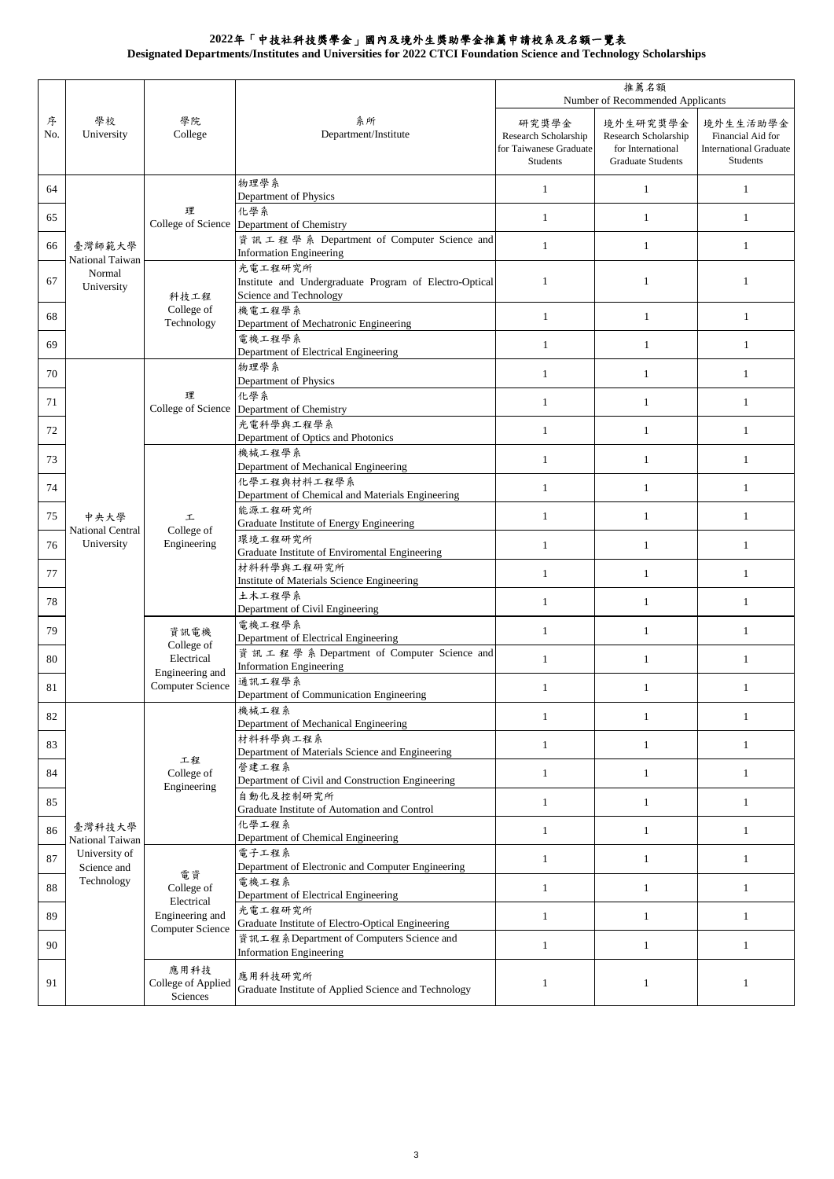**Designated Departments/Institutes and Universities for 2022 CTCI Foundation Science and Technology Scholarships**

|          |                                                   |                                                                                                                  |                                                                                             | 推薦名額<br>Number of Recommended Applicants                            |                                                                                   |                                                                            |
|----------|---------------------------------------------------|------------------------------------------------------------------------------------------------------------------|---------------------------------------------------------------------------------------------|---------------------------------------------------------------------|-----------------------------------------------------------------------------------|----------------------------------------------------------------------------|
| 序<br>No. | 學校<br>University                                  | 學院<br>College                                                                                                    | 系所<br>Department/Institute                                                                  | 研究獎學金<br>Research Scholarship<br>for Taiwanese Graduate<br>Students | 境外生研究獎學金<br>Research Scholarship<br>for International<br><b>Graduate Students</b> | 境外生生活助學金<br>Financial Aid for<br><b>International Graduate</b><br>Students |
| 64       |                                                   |                                                                                                                  | 物理學系<br>Department of Physics                                                               | $\mathbf{1}$                                                        | $\mathbf{1}$                                                                      | $\mathbf{1}$                                                               |
| 65       | 臺灣師範大學<br>National Taiwan<br>Normal<br>University | 理<br>College of Science                                                                                          | 化學系<br>Department of Chemistry                                                              | $\mathbf{1}$                                                        | $\mathbf{1}$                                                                      | $\mathbf{1}$                                                               |
| 66       |                                                   |                                                                                                                  | 資訊工程學系 Department of Computer Science and<br><b>Information Engineering</b>                 | $\mathbf{1}$                                                        | $\mathbf{1}$                                                                      | 1                                                                          |
| 67       |                                                   | 科技工程<br>College of<br>Technology                                                                                 | 光電工程研究所<br>Institute and Undergraduate Program of Electro-Optical<br>Science and Technology | $\mathbf{1}$                                                        | $\mathbf{1}$                                                                      | $\mathbf{1}$                                                               |
| 68       |                                                   |                                                                                                                  | 機電工程學系<br>Department of Mechatronic Engineering                                             | $\mathbf{1}$                                                        | $\mathbf{1}$                                                                      | $\mathbf{1}$                                                               |
| 69       |                                                   |                                                                                                                  | 電機工程學系<br>Department of Electrical Engineering                                              | $\mathbf{1}$                                                        | $\mathbf{1}$                                                                      | $\mathbf{1}$                                                               |
| 70       |                                                   |                                                                                                                  | 物理學系<br>Department of Physics                                                               | $\mathbf{1}$                                                        | $\mathbf{1}$                                                                      | $\mathbf{1}$                                                               |
| 71       |                                                   | 理<br>College of Science                                                                                          | 化學系<br>Department of Chemistry                                                              | $\mathbf{1}$                                                        | 1                                                                                 | $\mathbf{1}$                                                               |
| 72       |                                                   |                                                                                                                  | 光電科學與工程學系<br>Department of Optics and Photonics                                             | $\mathbf{1}$                                                        | $\mathbf{1}$                                                                      | 1                                                                          |
| 73       |                                                   |                                                                                                                  | 機械工程學系<br>Department of Mechanical Engineering                                              | $\mathbf{1}$                                                        | $\mathbf{1}$                                                                      | $\mathbf{1}$                                                               |
| 74       |                                                   |                                                                                                                  | 化學工程與材料工程學系<br>Department of Chemical and Materials Engineering                             | $\mathbf{1}$                                                        | $\mathbf{1}$                                                                      | $\mathbf{1}$                                                               |
| 75       | 中央大學                                              | 工<br>College of<br>Engineering<br>資訊電機<br>College of<br>Electrical<br>Engineering and<br><b>Computer Science</b> | 能源工程研究所<br>Graduate Institute of Energy Engineering                                         | $\mathbf{1}$                                                        | $\mathbf{1}$                                                                      | $\mathbf{1}$                                                               |
| 76       | National Central<br>University                    |                                                                                                                  | 環境工程研究所<br>Graduate Institute of Enviromental Engineering                                   | $\mathbf{1}$                                                        | $\mathbf{1}$                                                                      | $\mathbf{1}$                                                               |
| 77       |                                                   |                                                                                                                  | 材料科學與工程研究所<br>Institute of Materials Science Engineering                                    | $\mathbf{1}$                                                        | $\mathbf{1}$                                                                      | 1                                                                          |
| 78       |                                                   |                                                                                                                  | 土木工程學系<br>Department of Civil Engineering                                                   | $\mathbf{1}$                                                        | $\mathbf{1}$                                                                      | $\mathbf{1}$                                                               |
| 79       |                                                   |                                                                                                                  | 電機工程學系<br>Department of Electrical Engineering                                              | $\mathbf{1}$                                                        | $\mathbf{1}$                                                                      | $\mathbf{1}$                                                               |
| 80       |                                                   |                                                                                                                  | 資訊工程學系 Department of Computer Science and<br><b>Information Engineering</b>                 | $\mathbf{1}$                                                        | $\mathbf{1}$                                                                      | $\mathbf{1}$                                                               |
| 81       |                                                   |                                                                                                                  | 通訊工程學系<br>Department of Communication Engineering                                           | $\mathbf{1}$                                                        | $\mathbf{1}$                                                                      | $\mathbf{1}$                                                               |
| 82       |                                                   |                                                                                                                  | 機械工程系<br>Department of Mechanical Engineering                                               | $\mathbf{1}$                                                        | $\mathbf{1}$                                                                      | 1                                                                          |
| 83       |                                                   | 工程<br>College of<br>Engineering                                                                                  | 材料科學與工程系<br>Department of Materials Science and Engineering                                 | $\mathbf{1}$                                                        | $\mathbf{1}$                                                                      | $\mathbf{1}$                                                               |
| 84       |                                                   |                                                                                                                  | 營建工程系<br>Department of Civil and Construction Engineering                                   | $\mathbf{1}$                                                        | $\mathbf{1}$                                                                      | $\mathbf{1}$                                                               |
| 85       |                                                   |                                                                                                                  | 自動化及控制研究所<br>Graduate Institute of Automation and Control                                   | $\mathbf{1}$                                                        | $\mathbf{1}$                                                                      | $\mathbf{1}$                                                               |
| 86       | 臺灣科技大學<br>National Taiwan                         |                                                                                                                  | 化學工程系<br>Department of Chemical Engineering                                                 | $\mathbf{1}$                                                        | $\mathbf{1}$                                                                      | $\mathbf{1}$                                                               |
| 87       | University of<br>Science and                      | 電資<br>College of<br>Electrical<br>Engineering and<br><b>Computer Science</b>                                     | 電子工程系<br>Department of Electronic and Computer Engineering                                  | $\mathbf{1}$                                                        | $\mathbf{1}$                                                                      | $\mathbf{1}$                                                               |
| 88       | Technology                                        |                                                                                                                  | 電機工程系<br>Department of Electrical Engineering                                               | $\mathbf{1}$                                                        | $\mathbf{1}$                                                                      | $\mathbf{1}$                                                               |
| 89       |                                                   |                                                                                                                  | 光電工程研究所<br>Graduate Institute of Electro-Optical Engineering                                | $\mathbf{1}$                                                        | $\mathbf{1}$                                                                      | $\mathbf{1}$                                                               |
| 90       |                                                   |                                                                                                                  | 資訊工程系Department of Computers Science and<br><b>Information Engineering</b>                  | $\mathbf{1}$                                                        | $\mathbf{1}$                                                                      | $\mathbf{1}$                                                               |
| 91       |                                                   | 應用科技<br>College of Applied<br>Sciences                                                                           | 應用科技研究所<br>Graduate Institute of Applied Science and Technology                             | $\mathbf{1}$                                                        | $\mathbf{1}$                                                                      | $\mathbf{1}$                                                               |